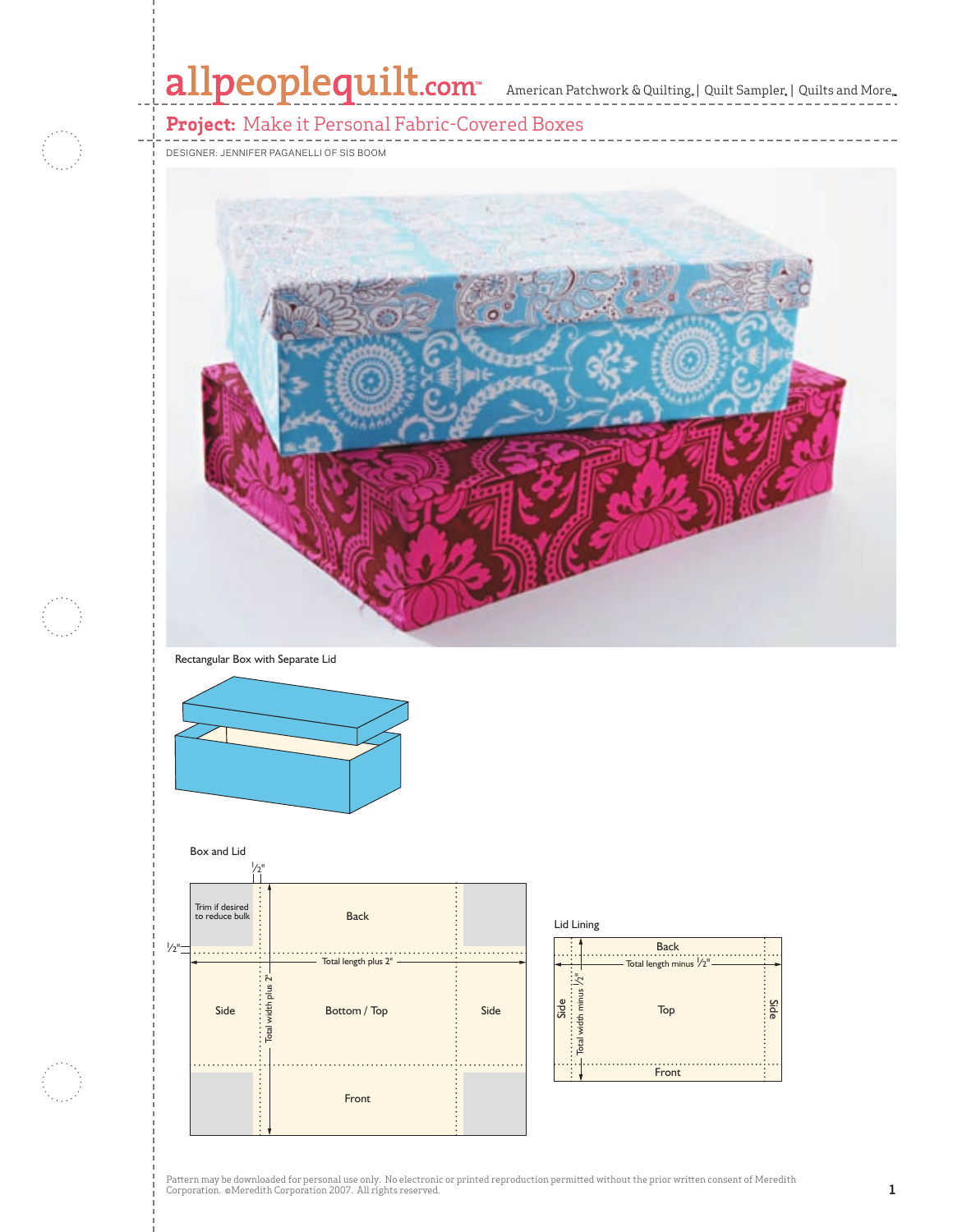# allpeoplequilt.com<sup>-</sup> American Patchwork & Quilting. | Quilt Sampler. | Quilts and More..

# **Project:** Make it Personal Fabric-Covered Boxes

DESIGNER: JENNIFER PAGANELLI OF SIS BOOM



#### Rectangular Box with Separate Lid





|                 | Lid Lining              |          |
|-----------------|-------------------------|----------|
|                 | <b>Back</b>             |          |
|                 | Total length minus /2"- |          |
|                 | $\tilde{\phantom{a}}$   |          |
| $\omega$<br>Sid | Top                     | Side<br> |
|                 | width                   |          |
|                 | otal                    |          |
|                 | Front                   |          |

Pattern may be downloaded for personal use only. No electronic or printed reproduction permitted without the prior written consent of Meredith<br>Corporation. ©Meredith Corporation 2007. All rights reserved.